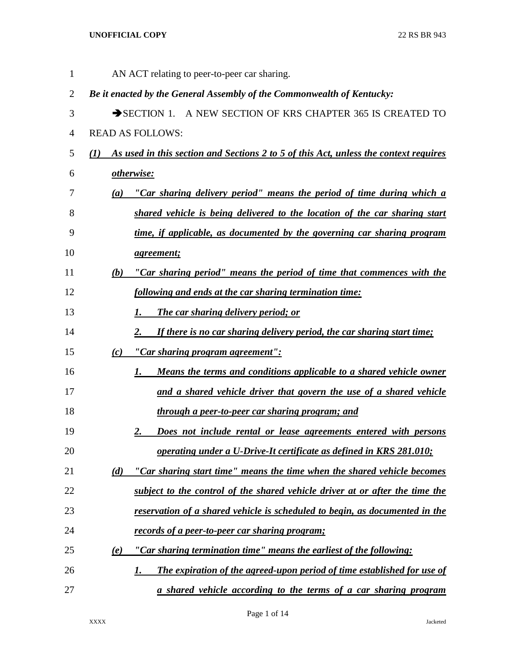| 1              |                  | AN ACT relating to peer-to-peer car sharing.                                         |
|----------------|------------------|--------------------------------------------------------------------------------------|
| 2              |                  | Be it enacted by the General Assembly of the Commonwealth of Kentucky:               |
| 3              |                  | SECTION 1. A NEW SECTION OF KRS CHAPTER 365 IS CREATED TO                            |
| $\overline{4}$ |                  | <b>READ AS FOLLOWS:</b>                                                              |
| 5              | $\mathbf{U}$     | As used in this section and Sections 2 to 5 of this Act, unless the context requires |
| 6              |                  | otherwise:                                                                           |
| 7              | $\left(a\right)$ | "Car sharing delivery period" means the period of time during which a                |
| 8              |                  | shared vehicle is being delivered to the location of the car sharing start           |
| 9              |                  | time, if applicable, as documented by the governing car sharing program              |
| 10             |                  | <i>agreement</i> ;                                                                   |
| 11             | (b)              | "Car sharing period" means the period of time that commences with the                |
| 12             |                  | following and ends at the car sharing termination time:                              |
| 13             |                  | <b>The car sharing delivery period; or</b><br>I.                                     |
| 14             |                  | If there is no car sharing delivery period, the car sharing start time;<br>2.        |
| 15             | (c)              | <u>"Car sharing program agreement":</u>                                              |
| 16             |                  | Means the terms and conditions applicable to a shared vehicle owner<br>1.            |
| 17             |                  | and a shared vehicle driver that govern the use of a shared vehicle                  |
| 18             |                  | through a peer-to-peer car sharing program; and                                      |
| 19             |                  | Does not include rental or lease agreements entered with persons<br><u>2.</u>        |
| 20             |                  | operating under a U-Drive-It certificate as defined in KRS 281.010;                  |
| 21             | (d)              | "Car sharing start time" means the time when the shared vehicle becomes              |
| 22             |                  | subject to the control of the shared vehicle driver at or after the time the         |
| 23             |                  | reservation of a shared vehicle is scheduled to begin, as documented in the          |
| 24             |                  | records of a peer-to-peer car sharing program;                                       |
| 25             | (e)              | "Car sharing termination time" means the earliest of the following:                  |
| 26             |                  | The expiration of the agreed-upon period of time established for use of<br>1.        |
| 27             |                  | a shared vehicle according to the terms of a car sharing program                     |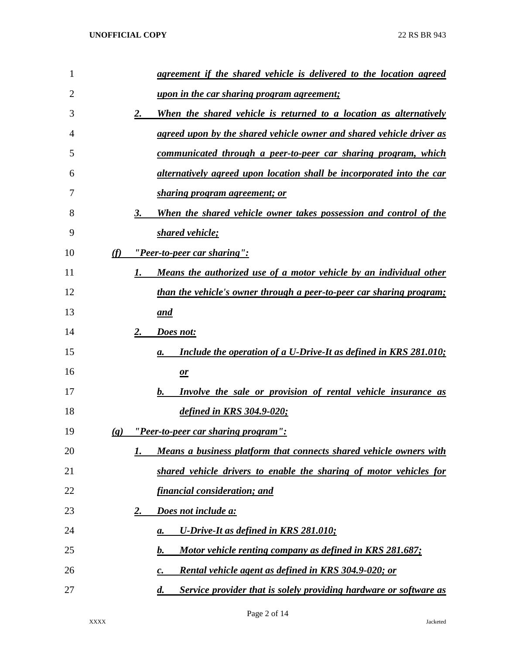| 1              |                             | agreement if the shared vehicle is delivered to the location agreed                     |
|----------------|-----------------------------|-----------------------------------------------------------------------------------------|
| $\overline{2}$ |                             | <u>upon in the car sharing program agreement;</u>                                       |
| 3              |                             | 2.<br>When the shared vehicle is returned to a location as alternatively                |
| 4              |                             | <u>agreed upon by the shared vehicle owner and shared vehicle driver as</u>             |
| 5              |                             | <u>communicated through a peer-to-peer car sharing program, which</u>                   |
| 6              |                             | alternatively agreed upon location shall be incorporated into the car                   |
| 7              |                             | <u>sharing program agreement; or</u>                                                    |
| 8              |                             | 3.<br>When the shared vehicle owner takes possession and control of the                 |
| 9              |                             | shared vehicle;                                                                         |
| 10             | (f)                         | <u>"Peer-to-peer car sharing":</u>                                                      |
| 11             |                             | Means the authorized use of a motor vehicle by an individual other<br>1.                |
| 12             |                             | <u>than the vehicle's owner through a peer-to-peer car sharing program;</u>             |
| 13             |                             | and                                                                                     |
| 14             |                             | 2.<br>Does not:                                                                         |
| 15             |                             | Include the operation of a U-Drive-It as defined in KRS 281.010;<br>a.                  |
| 16             |                             | $\mathbf{r}$                                                                            |
| 17             |                             | Involve the sale or provision of rental vehicle insurance as<br>$\bm{b}$ .              |
| 18             |                             | defined in KRS 304.9-020;                                                               |
| 19             | $\left( \mathbf{g} \right)$ | "Peer-to-peer car sharing program":                                                     |
| 20             |                             | Means a business platform that connects shared vehicle owners with<br>1.                |
| 21             |                             | shared vehicle drivers to enable the sharing of motor vehicles for                      |
| 22             |                             | <u>financial consideration; and</u>                                                     |
| 23             |                             | Does not include a:<br><u>2.</u>                                                        |
| 24             |                             | U-Drive-It as defined in KRS 281.010;<br>$\mathbf{a}$ .                                 |
| 25             |                             | Motor vehicle renting company as defined in KRS 281.687;<br>b.                          |
| 26             |                             | <b>Rental vehicle agent as defined in KRS 304.9-020; or</b><br>$\boldsymbol{c}$ .       |
| 27             |                             | Service provider that is solely providing hardware or software as<br>$\boldsymbol{d}$ . |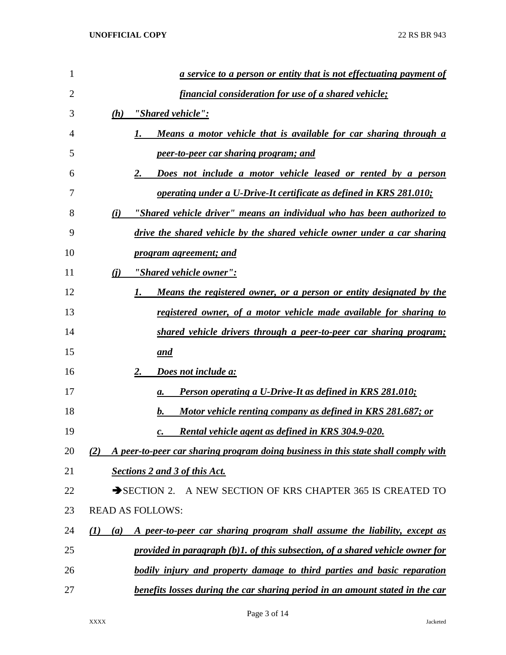| 1  | <u>a service to a person or entity that is not effectuating payment of</u>                          |
|----|-----------------------------------------------------------------------------------------------------|
| 2  | financial consideration for use of a shared vehicle;                                                |
| 3  | "Shared vehicle":<br>(h)                                                                            |
| 4  | Means a motor vehicle that is available for car sharing through a<br>1.                             |
| 5  | peer-to-peer car sharing program; and                                                               |
| 6  | Does not include a motor vehicle leased or rented by a person<br>2.                                 |
| 7  | operating under a U-Drive-It certificate as defined in KRS 281.010;                                 |
| 8  | "Shared vehicle driver" means an individual who has been authorized to<br>(i)                       |
| 9  | drive the shared vehicle by the shared vehicle owner under a car sharing                            |
| 10 | <i>program agreement; and</i>                                                                       |
| 11 | "Shared vehicle owner":<br><u>(i)</u>                                                               |
| 12 | Means the registered owner, or a person or entity designated by the<br>1.                           |
| 13 | registered owner, of a motor vehicle made available for sharing to                                  |
| 14 | shared vehicle drivers through a peer-to-peer car sharing program;                                  |
| 15 | <u>and</u>                                                                                          |
| 16 | Does not include a:<br>2.                                                                           |
| 17 | <b>Person operating a U-Drive-It as defined in KRS 281.010;</b><br>а.                               |
| 18 | Motor vehicle renting company as defined in KRS 281.687; or<br>b.                                   |
| 19 | Rental vehicle agent as defined in KRS 304.9-020.<br>с.                                             |
| 20 | A peer-to-peer car sharing program doing business in this state shall comply with<br>(2)            |
| 21 | <b>Sections 2 and 3 of this Act.</b>                                                                |
| 22 | A NEW SECTION OF KRS CHAPTER 365 IS CREATED TO<br>$\rightarrow$ SECTION 2.                          |
| 23 | <b>READ AS FOLLOWS:</b>                                                                             |
| 24 | A peer-to-peer car sharing program shall assume the liability, except as<br>$\mathcal{L}(I)$<br>(a) |
| 25 | provided in paragraph (b)1. of this subsection, of a shared vehicle owner for                       |
| 26 | bodily injury and property damage to third parties and basic reparation                             |
| 27 | benefits losses during the car sharing period in an amount stated in the car                        |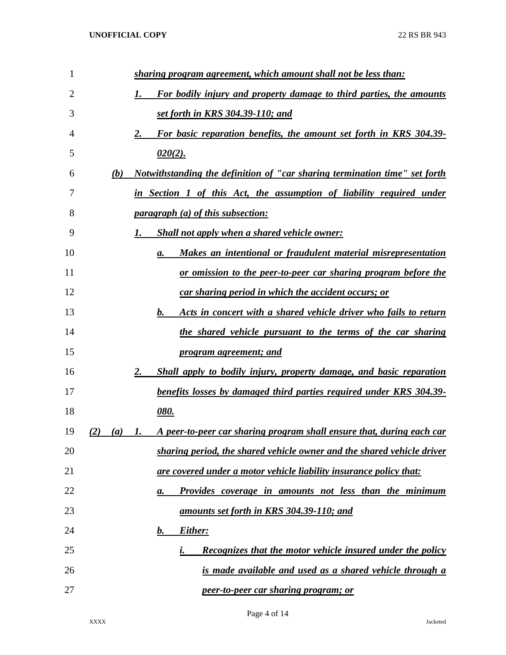| 1  |            | sharing program agreement, which amount shall not be less than:                |
|----|------------|--------------------------------------------------------------------------------|
| 2  |            | For bodily injury and property damage to third parties, the amounts<br>1.      |
| 3  |            | set forth in KRS 304.39-110; and                                               |
| 4  |            | For basic reparation benefits, the amount set forth in KRS 304.39-<br>2.       |
| 5  |            | $020(2)$ .                                                                     |
| 6  | (b)        | Notwithstanding the definition of "car sharing termination time" set forth     |
| 7  |            | in Section 1 of this Act, the assumption of liability required under           |
| 8  |            | <i>paragraph (a) of this subsection:</i>                                       |
| 9  |            | <b>Shall not apply when a shared vehicle owner:</b><br>1.                      |
| 10 |            | Makes an intentional or fraudulent material misrepresentation<br>а.            |
| 11 |            | or omission to the peer-to-peer car sharing program before the                 |
| 12 |            | car sharing period in which the accident occurs; or                            |
| 13 |            | Acts in concert with a shared vehicle driver who fails to return<br>$\bm{b}$ . |
| 14 |            | the shared vehicle pursuant to the terms of the car sharing                    |
| 15 |            | <u>program agreement; and</u>                                                  |
| 16 |            | Shall apply to bodily injury, property damage, and basic reparation<br>2.      |
| 17 |            | benefits losses by damaged third parties required under KRS 304.39-            |
| 18 |            | <u>080.</u>                                                                    |
| 19 | (2)<br>(a) | A peer-to-peer car sharing program shall ensure that, during each car<br>I.    |
| 20 |            | sharing period, the shared vehicle owner and the shared vehicle driver         |
| 21 |            | are covered under a motor vehicle liability insurance policy that:             |
| 22 |            | Provides coverage in amounts not less than the minimum<br>а.                   |
| 23 |            | amounts set forth in KRS 304.39-110; and                                       |
| 24 |            | Either:<br>b.                                                                  |
| 25 |            | Recognizes that the motor vehicle insured under the policy                     |
| 26 |            | is made available and used as a shared vehicle through a                       |
| 27 |            | peer-to-peer car sharing program; or                                           |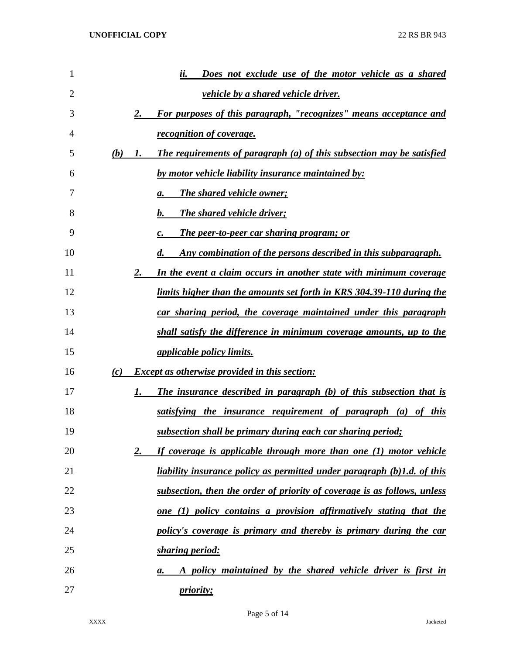| 1  |     | Does not exclude use of the motor vehicle as a shared<br>ii.                                |
|----|-----|---------------------------------------------------------------------------------------------|
| 2  |     | <i>vehicle by a shared vehicle driver.</i>                                                  |
| 3  |     | For purposes of this paragraph, "recognizes" means acceptance and<br>2.                     |
| 4  |     | <i>recognition of coverage.</i>                                                             |
| 5  | (b) | The requirements of paragraph (a) of this subsection may be satisfied<br>1.                 |
| 6  |     | by motor vehicle liability insurance maintained by:                                         |
| 7  |     | <b>The shared vehicle owner;</b><br>а.                                                      |
| 8  |     | <b>The shared vehicle driver;</b><br>b.                                                     |
| 9  |     | <b>The peer-to-peer car sharing program; or</b>                                             |
| 10 |     | <u>Any combination of the persons described in this subparagraph.</u><br>$\boldsymbol{d}$ . |
| 11 |     | In the event a claim occurs in another state with minimum coverage<br>2.                    |
| 12 |     | limits higher than the amounts set forth in KRS 304.39-110 during the                       |
| 13 |     | car sharing period, the coverage maintained under this paragraph                            |
| 14 |     | shall satisfy the difference in minimum coverage amounts, up to the                         |
| 15 |     | <i>applicable policy limits.</i>                                                            |
| 16 | (c) | <b>Except as otherwise provided in this section:</b>                                        |
| 17 |     | The insurance described in paragraph (b) of this subsection that is<br>1.                   |
| 18 |     | <u>satisfying the insurance requirement of paragraph (a) of this</u>                        |
| 19 |     | subsection shall be primary during each car sharing period;                                 |
| 20 |     | If coverage is applicable through more than one (1) motor vehicle<br>2.                     |
| 21 |     | <u>liability insurance policy as permitted under paragraph (b)1.d. of this</u>              |
| 22 |     | subsection, then the order of priority of coverage is as follows, unless                    |
| 23 |     | one (1) policy contains a provision affirmatively stating that the                          |
| 24 |     | policy's coverage is primary and thereby is primary during the car                          |
| 25 |     | sharing period:                                                                             |
| 26 |     | A policy maintained by the shared vehicle driver is first in<br>а.                          |
| 27 |     | <i>priority;</i>                                                                            |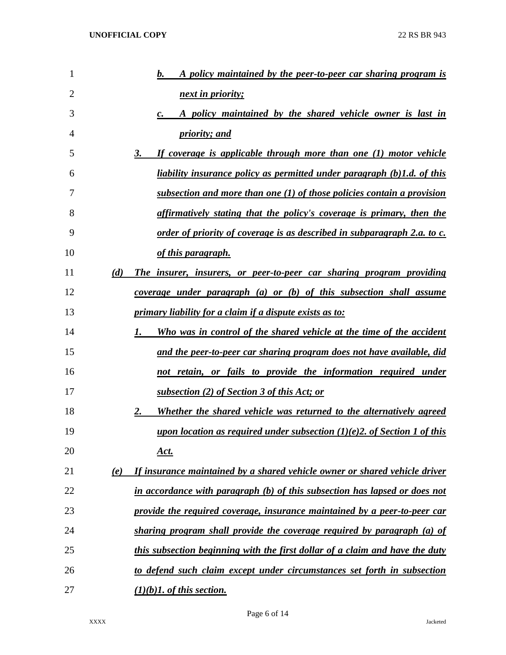| 1              | b.<br>A policy maintained by the peer-to-peer car sharing program is                         |
|----------------|----------------------------------------------------------------------------------------------|
| $\overline{2}$ | next in priority;                                                                            |
| 3              | A policy maintained by the shared vehicle owner is last in<br>$\mathcal{C}$ .                |
| 4              | <i>priority; and</i>                                                                         |
| 5              | 3.<br>If coverage is applicable through more than one (1) motor vehicle                      |
| 6              | liability insurance policy as permitted under paragraph (b)1.d. of this                      |
| 7              | subsection and more than one $(1)$ of those policies contain a provision                     |
| 8              | affirmatively stating that the policy's coverage is primary, then the                        |
| 9              | <u>order of priority of coverage is as described in subparagraph 2.a. to c.</u>              |
| 10             | <u>of this paragraph.</u>                                                                    |
| 11             | (d)<br><u>The insurer, insurers, or peer-to-peer car sharing program providing</u>           |
| 12             | coverage under paragraph $(a)$ or $(b)$ of this subsection shall assume                      |
| 13             | primary liability for a claim if a dispute exists as to:                                     |
| 14             | Who was in control of the shared vehicle at the time of the accident<br>1.                   |
| 15             | and the peer-to-peer car sharing program does not have available, did                        |
| 16             | not retain, or fails to provide the information required under                               |
| 17             | subsection (2) of Section 3 of this Act; or                                                  |
| 18             | 2.<br>Whether the shared vehicle was returned to the alternatively agreed                    |
| 19             | <u>upon location as required under subsection <math>(1)(e)</math>2. of Section 1 of this</u> |
| 20             | <u>Act.</u>                                                                                  |
| 21             | If insurance maintained by a shared vehicle owner or shared vehicle driver<br>(e)            |
| 22             | in accordance with paragraph (b) of this subsection has lapsed or does not                   |
| 23             | provide the required coverage, insurance maintained by a peer-to-peer car                    |
| 24             | sharing program shall provide the coverage required by paragraph (a) of                      |
| 25             | this subsection beginning with the first dollar of a claim and have the duty                 |
| 26             | to defend such claim except under circumstances set forth in subsection                      |
| 27             | $(1)(b)$ 1. of this section.                                                                 |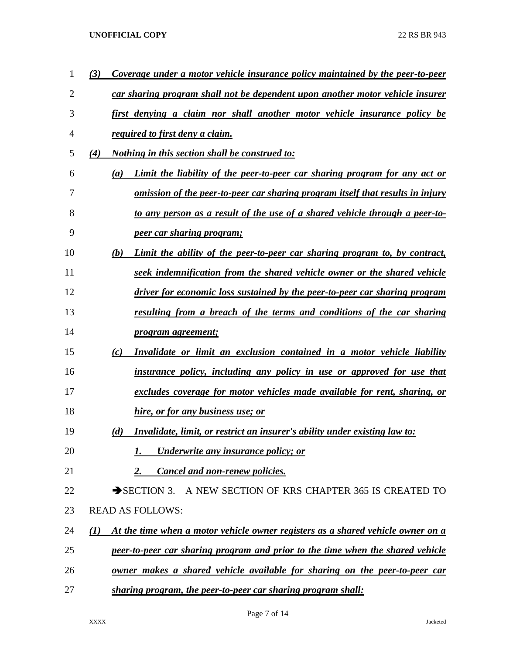| 1  | Coverage under a motor vehicle insurance policy maintained by the peer-to-peer<br>(3)               |
|----|-----------------------------------------------------------------------------------------------------|
| 2  | car sharing program shall not be dependent upon another motor vehicle insurer                       |
| 3  | first denying a claim nor shall another motor vehicle insurance policy be                           |
| 4  | required to first deny a claim.                                                                     |
| 5  | <i>Nothing in this section shall be construed to:</i><br>(4)                                        |
| 6  | Limit the liability of the peer-to-peer car sharing program for any act or<br>(a)                   |
| 7  | <u>omission of the peer-to-peer car sharing program itself that results in injury</u>               |
| 8  | to any person as a result of the use of a shared vehicle through a peer-to-                         |
| 9  | <i>peer car sharing program;</i>                                                                    |
| 10 | (b)<br>Limit the ability of the peer-to-peer car sharing program to, by contract,                   |
| 11 | seek indemnification from the shared vehicle owner or the shared vehicle                            |
| 12 | driver for economic loss sustained by the peer-to-peer car sharing program                          |
| 13 | resulting from a breach of the terms and conditions of the car sharing                              |
| 14 | <u>program agreement;</u>                                                                           |
| 15 | Invalidate or limit an exclusion contained in a motor vehicle liability<br>(c)                      |
| 16 | insurance policy, including any policy in use or approved for use that                              |
| 17 | excludes coverage for motor vehicles made available for rent, sharing, or                           |
| 18 | hire, or for any business use; or                                                                   |
| 19 | <i>Invalidate, limit, or restrict an insurer's ability under existing law to:</i><br>(d)            |
| 20 | Underwrite any insurance policy; or<br>1.                                                           |
| 21 | Cancel and non-renew policies.<br>2.                                                                |
| 22 | $\rightarrow$ SECTION 3.<br>A NEW SECTION OF KRS CHAPTER 365 IS CREATED TO                          |
| 23 | <b>READ AS FOLLOWS:</b>                                                                             |
| 24 | At the time when a motor vehicle owner registers as a shared vehicle owner on a<br>$\mathcal{L}(I)$ |
| 25 | peer-to-peer car sharing program and prior to the time when the shared vehicle                      |
| 26 | owner makes a shared vehicle available for sharing on the peer-to-peer car                          |
| 27 | sharing program, the peer-to-peer car sharing program shall:                                        |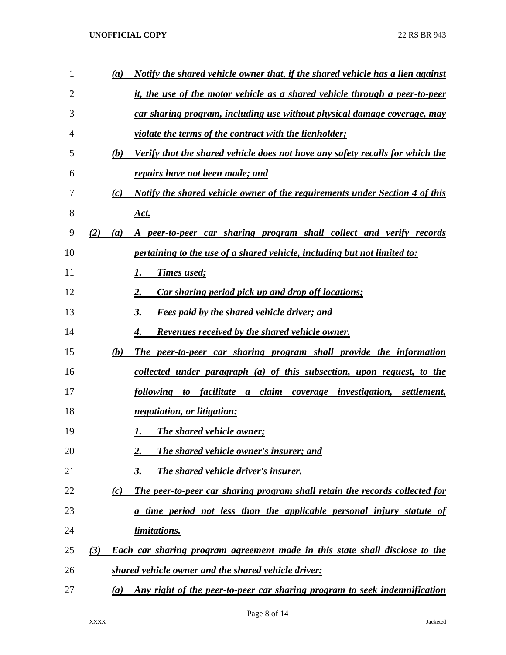| $\mathbf{1}$ | (a)               | Notify the shared vehicle owner that, if the shared vehicle has a lien against                |
|--------------|-------------------|-----------------------------------------------------------------------------------------------|
| 2            |                   | it, the use of the motor vehicle as a shared vehicle through a peer-to-peer                   |
| 3            |                   | car sharing program, including use without physical damage coverage, may                      |
| 4            |                   | <i>violate the terms of the contract with the lienholder;</i>                                 |
| 5            | (b)               | Verify that the shared vehicle does not have any safety recalls for which the                 |
| 6            |                   | repairs have not been made; and                                                               |
| 7            | (c)               | Notify the shared vehicle owner of the requirements under Section 4 of this                   |
| 8            |                   | <u>Act.</u>                                                                                   |
| 9            | (2)<br>(a)        | A peer-to-peer car sharing program shall collect and verify records                           |
| 10           |                   | <i>pertaining to the use of a shared vehicle, including but not limited to:</i>               |
| 11           |                   | <b>Times used;</b><br>1.                                                                      |
| 12           |                   | 2.<br>Car sharing period pick up and drop off locations;                                      |
| 13           |                   | <b>Fees paid by the shared vehicle driver; and</b><br>3.                                      |
| 14           |                   | <b>Revenues received by the shared vehicle owner.</b><br>4.                                   |
| 15           | (b)               | The peer-to-peer car sharing program shall provide the information                            |
| 16           |                   | <u>collected under paragraph (a) of this subsection, upon request, to the</u>                 |
| 17           |                   | to facilitate a<br>claim<br><i>coverage investigation,</i><br><i>following</i><br>settlement, |
| 18           |                   | negotiation, or litigation:                                                                   |
| 19           |                   | <b>The shared vehicle owner;</b><br>1.                                                        |
| 20           |                   | <b>The shared vehicle owner's insurer; and</b><br>2.                                          |
| 21           |                   | The shared vehicle driver's insurer.<br>3.                                                    |
| 22           | (c)               | The peer-to-peer car sharing program shall retain the records collected for                   |
| 23           |                   | a time period not less than the applicable personal injury statute of                         |
| 24           |                   | <i>limitations.</i>                                                                           |
| 25           | (3)               | Each car sharing program agreement made in this state shall disclose to the                   |
| 26           |                   | shared vehicle owner and the shared vehicle driver:                                           |
| 27           | $\left( a\right)$ | Any right of the peer-to-peer car sharing program to seek indemnification                     |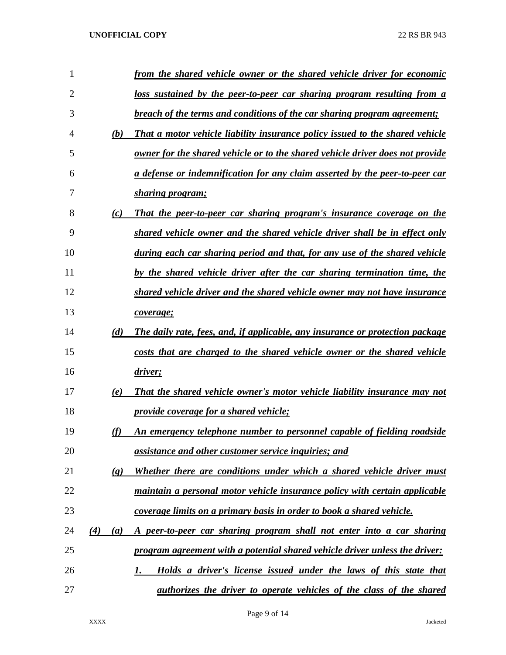| 1  |                             | from the shared vehicle owner or the shared vehicle driver for economic       |
|----|-----------------------------|-------------------------------------------------------------------------------|
| 2  |                             | loss sustained by the peer-to-peer car sharing program resulting from a       |
| 3  |                             | breach of the terms and conditions of the car sharing program agreement;      |
| 4  | (b)                         | That a motor vehicle liability insurance policy issued to the shared vehicle  |
| 5  |                             | owner for the shared vehicle or to the shared vehicle driver does not provide |
| 6  |                             | a defense or indemnification for any claim asserted by the peer-to-peer car   |
| 7  |                             | sharing program;                                                              |
| 8  | (c)                         | That the peer-to-peer car sharing program's insurance coverage on the         |
| 9  |                             | shared vehicle owner and the shared vehicle driver shall be in effect only    |
| 10 |                             | during each car sharing period and that, for any use of the shared vehicle    |
| 11 |                             | by the shared vehicle driver after the car sharing termination time, the      |
| 12 |                             | shared vehicle driver and the shared vehicle owner may not have insurance     |
| 13 |                             | coverage;                                                                     |
| 14 | (d)                         | The daily rate, fees, and, if applicable, any insurance or protection package |
| 15 |                             | costs that are charged to the shared vehicle owner or the shared vehicle      |
| 16 |                             | driver;                                                                       |
| 17 | (e)                         | That the shared vehicle owner's motor vehicle liability insurance may not     |
| 18 |                             | <i><u><b>provide coverage for a shared vehicle;</b></u></i>                   |
| 19 | (f)                         | An emergency telephone number to personnel capable of fielding roadside       |
| 20 |                             | assistance and other customer service inquiries; and                          |
| 21 | $\left( \mathbf{g} \right)$ | Whether there are conditions under which a shared vehicle driver must         |
| 22 |                             | maintain a personal motor vehicle insurance policy with certain applicable    |
| 23 |                             | coverage limits on a primary basis in order to book a shared vehicle.         |
| 24 | (4)<br>(a)                  | A peer-to-peer car sharing program shall not enter into a car sharing         |
| 25 |                             | program agreement with a potential shared vehicle driver unless the driver:   |
| 26 |                             | Holds a driver's license issued under the laws of this state that<br>1.       |
| 27 |                             | <i>authorizes the driver to operate vehicles of the class of the shared</i>   |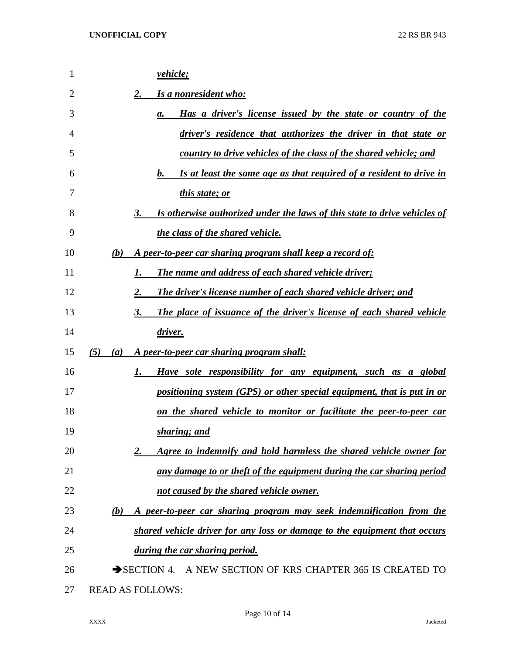| 1  | <i>vehicle</i> ;                                                                |
|----|---------------------------------------------------------------------------------|
| 2  | Is a nonresident who:<br>2.                                                     |
| 3  | Has a driver's license issued by the state or country of the<br>а.              |
| 4  | driver's residence that authorizes the driver in that state or                  |
| 5  | country to drive vehicles of the class of the shared vehicle; and               |
| 6  | Is at least the same age as that required of a resident to drive in<br>b.       |
| 7  | <i>this state; or</i>                                                           |
| 8  | Is otherwise authorized under the laws of this state to drive vehicles of<br>3. |
| 9  | the class of the shared vehicle.                                                |
| 10 | A peer-to-peer car sharing program shall keep a record of:<br>(b)               |
| 11 | <b>The name and address of each shared vehicle driver;</b>                      |
| 12 | The driver's license number of each shared vehicle driver; and<br>2.            |
| 13 | The place of issuance of the driver's license of each shared vehicle<br>3.      |
| 14 | driver.                                                                         |
| 15 | (5)<br>A peer-to-peer car sharing program shall:<br>(a)                         |
| 16 | Have sole responsibility for any equipment, such as a global<br>$1_{\cdot}$     |
| 17 | positioning system (GPS) or other special equipment, that is put in or          |
| 18 | on the shared vehicle to monitor or facilitate the peer-to-peer car             |
| 19 | sharing; and                                                                    |
| 20 | Agree to indemnify and hold harmless the shared vehicle owner for               |
| 21 | any damage to or theft of the equipment during the car sharing period           |
| 22 | not caused by the shared vehicle owner.                                         |
| 23 | A peer-to-peer car sharing program may seek indemnification from the<br>(b)     |
| 24 | shared vehicle driver for any loss or damage to the equipment that occurs       |
| 25 | during the car sharing period.                                                  |
| 26 | SECTION 4. A NEW SECTION OF KRS CHAPTER 365 IS CREATED TO                       |
| 27 | <b>READ AS FOLLOWS:</b>                                                         |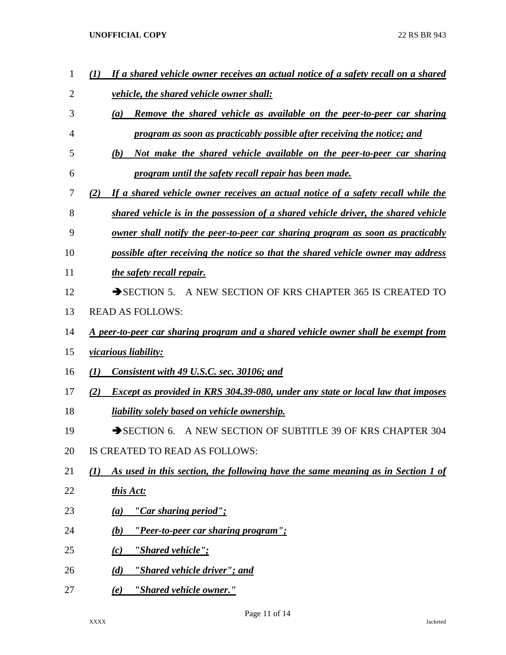| 1              | If a shared vehicle owner receives an actual notice of a safety recall on a shared      |
|----------------|-----------------------------------------------------------------------------------------|
| $\overline{2}$ | <i>vehicle, the shared vehicle owner shall:</i>                                         |
| 3              | Remove the shared vehicle as available on the peer-to-peer car sharing<br>(a)           |
| 4              | program as soon as practicably possible after receiving the notice; and                 |
| 5              | (b)<br>Not make the shared vehicle available on the peer-to-peer car sharing            |
| 6              | program until the safety recall repair has been made.                                   |
| 7              | If a shared vehicle owner receives an actual notice of a safety recall while the<br>(2) |
| 8              | shared vehicle is in the possession of a shared vehicle driver, the shared vehicle      |
| 9              | owner shall notify the peer-to-peer car sharing program as soon as practicably          |
| 10             | possible after receiving the notice so that the shared vehicle owner may address        |
| 11             | the safety recall repair.                                                               |
| 12             | A NEW SECTION OF KRS CHAPTER 365 IS CREATED TO<br>$\rightarrow$ SECTION 5.              |
| 13             | <b>READ AS FOLLOWS:</b>                                                                 |
| 14             | A peer-to-peer car sharing program and a shared vehicle owner shall be exempt from      |
| 15             | <i>vicarious liability:</i>                                                             |
| 16             | Consistent with 49 U.S.C. sec. 30106; and<br>(I)                                        |
| 17             | Except as provided in KRS 304.39-080, under any state or local law that imposes<br>(2)  |
| 18             | <u>liability solely based on vehicle ownership.</u>                                     |
| 19             | $\rightarrow$ SECTION 6.<br>A NEW SECTION OF SUBTITLE 39 OF KRS CHAPTER 304             |
| 20             | IS CREATED TO READ AS FOLLOWS:                                                          |
| 21             | As used in this section, the following have the same meaning as in Section 1 of<br>(I)  |
| 22             | this Act:                                                                               |
| 23             | "Car sharing period";<br>(a)                                                            |
| 24             | "Peer-to-peer car sharing program";<br>(b)                                              |
| 25             | "Shared vehicle";<br>(c)                                                                |
| 26             | (d)<br><u>"Shared vehicle driver"; and</u>                                              |
| 27             | "Shared vehicle owner."<br>(e)                                                          |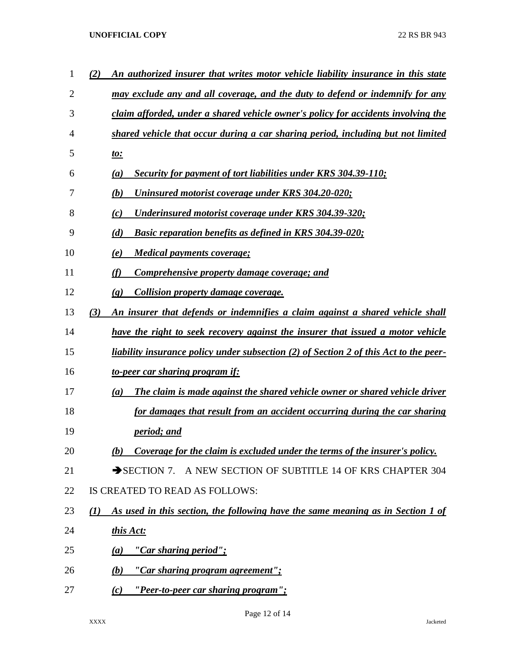| 1              | An authorized insurer that writes motor vehicle liability insurance in this state<br>(2) |
|----------------|------------------------------------------------------------------------------------------|
| $\overline{2}$ | may exclude any and all coverage, and the duty to defend or indemnify for any            |
| 3              | claim afforded, under a shared vehicle owner's policy for accidents involving the        |
| 4              | shared vehicle that occur during a car sharing period, including but not limited         |
| 5              | <u>to:</u>                                                                               |
| 6              | Security for payment of tort liabilities under KRS 304.39-110;<br>(a)                    |
| 7              | Uninsured motorist coverage under KRS 304.20-020;<br>(b)                                 |
| 8              | Underinsured motorist coverage under KRS 304.39-320;<br>(c)                              |
| 9              | (d)<br><b>Basic reparation benefits as defined in KRS 304.39-020;</b>                    |
| 10             | <b>Medical payments coverage;</b><br>(e)                                                 |
| 11             | (f)<br><b>Comprehensive property damage coverage; and</b>                                |
| 12             | <b>Collision property damage coverage.</b><br>$\left( \mathbf{g} \right)$                |
| 13             | (3)<br>An insurer that defends or indemnifies a claim against a shared vehicle shall     |
| 14             | have the right to seek recovery against the insurer that issued a motor vehicle          |
| 15             | liability insurance policy under subsection (2) of Section 2 of this Act to the peer-    |
| 16             | <u>to-peer car sharing program if:</u>                                                   |
| 17             | The claim is made against the shared vehicle owner or shared vehicle driver<br>(a)       |
| 18             | for damages that result from an accident occurring during the car sharing                |
| 19             | <i>period; and</i>                                                                       |
| 20             | Coverage for the claim is excluded under the terms of the insurer's policy.<br>(b)       |
| 21             | SECTION 7. A NEW SECTION OF SUBTITLE 14 OF KRS CHAPTER 304                               |
| 22             | IS CREATED TO READ AS FOLLOWS:                                                           |
| 23             | As used in this section, the following have the same meaning as in Section 1 of<br>(1)   |
| 24             | this Act:                                                                                |
| 25             | <u>"Car sharing period";</u><br>$\left(a\right)$                                         |
| 26             | <u>"Car sharing program agreement";</u><br>(b)                                           |
| 27             | <u>"Peer-to-peer car sharing program";</u><br>(c)                                        |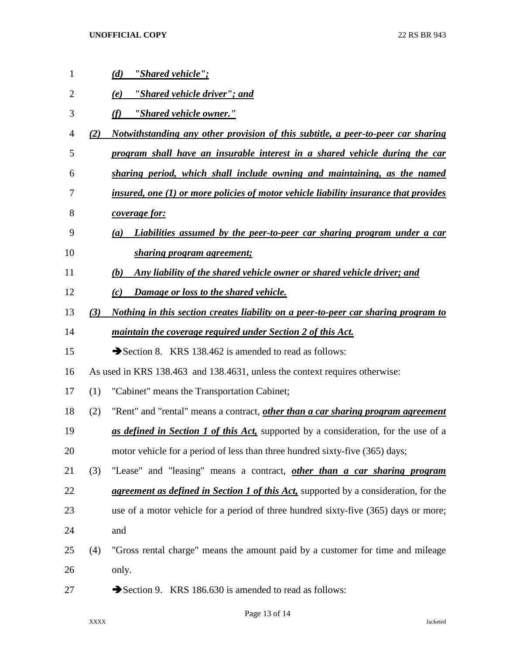| 1  |     | "Shared vehicle";<br>(d)                                                                     |
|----|-----|----------------------------------------------------------------------------------------------|
| 2  |     | "Shared vehicle driver"; and<br>(e)                                                          |
| 3  |     | "Shared vehicle owner."<br>(f)                                                               |
| 4  | (2) | Notwithstanding any other provision of this subtitle, a peer-to-peer car sharing             |
| 5  |     | program shall have an insurable interest in a shared vehicle during the car                  |
| 6  |     | sharing period, which shall include owning and maintaining, as the named                     |
| 7  |     | insured, one (1) or more policies of motor vehicle liability insurance that provides         |
| 8  |     | <i>coverage for:</i>                                                                         |
| 9  |     | Liabilities assumed by the peer-to-peer car sharing program under a car<br>(a)               |
| 10 |     | <u>sharing program agreement;</u>                                                            |
| 11 |     | Any liability of the shared vehicle owner or shared vehicle driver; and<br>(b)               |
| 12 |     | Damage or loss to the shared vehicle.<br>(c)                                                 |
| 13 | (3) | Nothing in this section creates liability on a peer-to-peer car sharing program to           |
| 14 |     | maintain the coverage required under Section 2 of this Act.                                  |
| 15 |     | Section 8. KRS 138.462 is amended to read as follows:                                        |
| 16 |     | As used in KRS 138.463 and 138.4631, unless the context requires otherwise:                  |
| 17 | (1) | "Cabinet" means the Transportation Cabinet;                                                  |
| 18 | (2) | "Rent" and "rental" means a contract, <i>other than a car sharing program agreement</i>      |
| 19 |     | as defined in Section 1 of this Act, supported by a consideration, for the use of a          |
| 20 |     | motor vehicle for a period of less than three hundred sixty-five (365) days;                 |
| 21 | (3) | "Lease" and "leasing" means a contract, other than a car sharing program                     |
| 22 |     | <i>agreement as defined in Section 1 of this Act</i> , supported by a consideration, for the |
| 23 |     | use of a motor vehicle for a period of three hundred sixty-five (365) days or more;          |
| 24 |     | and                                                                                          |
| 25 | (4) | "Gross rental charge" means the amount paid by a customer for time and mileage               |
| 26 |     | only.                                                                                        |
| 27 |     | Section 9. KRS 186.630 is amended to read as follows:                                        |

Page 13 of 14